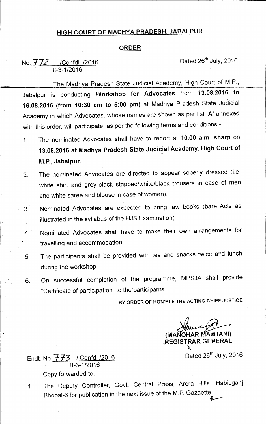## **HIGH COURT OF MADHYA PRADESH, JABALPUR**

## **ORDER**

## No.  $772$  /Confdl. /2016 11-3-1/2016

The Madhya Pradesh State Judicial Academy, High Court of M.P., **446.1111.11.111111.M.N1111..MA**  Jabalpur is conducting **Workshop for Advocates** from **13.08.2016 to 16.08.2016 (from 10:30 am to 5:00 pm)** at \_Madhya Pradesh State Judicial Academy in which Advocates, whose names are shown as per list **'A'** annexed with this order, will participate, as per the following terms and conditions:-

- 1. The nominated Advocates shall have to report at **10.00 a.m. sharp** on **13.08.2016 at Madhya Pradesh State Judicial Academy, High Court of M.P., Jabalpur.**
- 2. The nominated Advocates are directed to appear soberly dressed (i.e. white shirt and grey-black stripped/white/black trousers in case of men and white saree and blouse in case of women).
- 3. Nominated Advocates are expected to bring law books (bare Acts as illustrated in the syllabus of the HJS Examination)
- 4. Nominated Advocates shall have to make their own arrangements for travelling and accommodation.
- 5. The participants shall be provided with tea and snacks twice and lunch during the workshop.
- 6. On successful completion of the programme, MPSJA shall provide "Certificate of participation" to the participants.

**BY ORDER OF HON'BLE THE ACTING CHIEF JUSTICE** 

**(MANOHAR AMTANI) \,REGISTRAR GENERAL**  ≫∕

Endt. No.  $773$  / Confdl /2016 11-3-1/2016 Copy forwarded to:-

1. The Deputy Controller, Govt. Central Press, Arera Hills, Habibganj, Bhopal-6 for publication in the next issue of the M.P. Gazaette,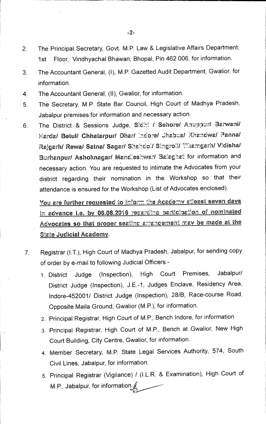- **2. The Principal Secretary, Govt. M.P. Law & Legislative Affairs Department, 1st Floor, VindhyaChal Bhawan, Bhopal, Pin 462 006, for information.**
- **3 The Accountant General, (I), M.P. Gazetted Audit Department, Gwalior, for information.**
- **4. The Accountant General, (II), Gwalior, for information.**
- **5. The Secretary, M.P. State Bar Council, High Court of Madhya Pradesh, Jabalpur premises for information and necessary action.**
- 6. The District & Sessions Judge, Sidhi / Sehore/ Anuppur/ Barwani/ **Harda/ Betul/ Chhatarpur/ Dhar/ :doe/ Jhatoua/ Khandwa/ Parma/**  Rajgarh/ Rewa/ Satna/ Sagar/ Shahdol/ Singroli/ Tikamgarh/ Vidisha/ Burhanpur/ Ashoknagar/ Mandleshwar/ Balaghat for information and **necessary action. You are requested to intimate the Advocates from your district regarding their nomination in the Workshop so that their attendance is ensured for the Workshop (List of Advocates enclosed).**

You are further requested to inform the Academy atleast seven days in advance i.e. by 06.08.2016 regarding participation of nominated Advocates so that proper seating arrangement may be made at the **State Judicial Academy.** 

- **7 Registrar (LT.), High Court of Madhya Pradesh, Jabalpur, for sending copy of order by e-mail to following Judicial Officers:-** 
	- **1. District Judge (Inspection), High Court Premises, Jabalpur/ District Judge (Inspection), J.E.-1, Judges Enclave, Residency Area, lndore-452001/ District Judge (Inspection), 28/B, Race-course Road, Opposite Maila Ground, Gwalior (M.P.), for information.**
	- 2.. **Principal Registrar, High Court of M.P., Bench lndore, for information**
	- **3. Principal Registrar, High Court of M.P., Bench at Gwalior, New High Court Building, City Centre, Gwalior, for information.**
	- **4. Member Secretary, M.P. State Legal Services Authority, 574, South Civil Lines, Jabalpur, for information.**
	- **5. Principal Registrar (Vigilance) / (I.L.R. & Examination), High Court of M.P., Jabalpur, for information**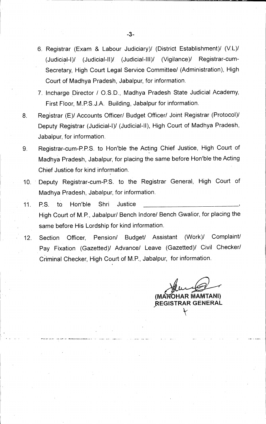- 6. Registrar (Exam & Labour Judiciary)/ (District Establishment)/ (V.L)/ (Judicial-I)/ (Judicial-II)/ (Judicial-III)/ (Vigilance)/ Registrar-cum-Secretary, High Court Legal Service Committee/ (Administration), High Court of Madhya Pradesh, Jabalpur, for information.
- 7. Incharge Director / O.S.D., Madhya Pradesh State Judicial Academy, First Floor, M:P.S.J.A. Building, Jabalpur for information.
- 8. Registrar (E)/ Accounts Officer/ Budget Officer/ Joint Registrar (Protocol)/ Deputy Registrar (Judicial-I)/ (Judicial-II), High Court of Madhya Pradesh, Jabalpur, for information.
- 9. Registrar-cum-P.P.S. to Hon'ble the Acting Chief Justice, High Court of Madhya Pradesh, Jabalpur, for placing the same before Hon'ble the Acting Chief Justice for kind information.
- 10. Deputy Registrar-cum-P.S. to the Registrar General, High Court of Madhya Pradesh, Jabalpur, for information.
- 11. P.S. to Hon'ble Shri Justice High Court of M.P., Jabalpur/ Bench lndore/ Bench Gwalior, for placing the same before His Lordship for kind information.
- 12. Section Officer, Pension/ Budget/ Assistant (Work)/ Complaint/ Pay Fixation (Gazetted)/ Advance/ Leave (Gazetted)/ Civil Checker/ Criminal Checker, High Court of M.P., Jabalpur, for information.

**MANOHAR MAMTANI) ?REGISTRAR GENERAL**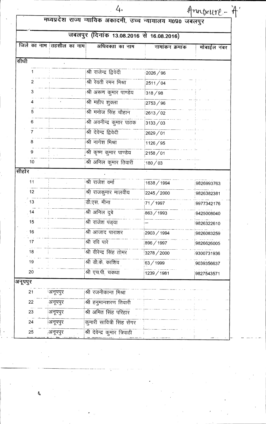|                                          |                          | 4.                                                           |                 | rntxure -   |  |
|------------------------------------------|--------------------------|--------------------------------------------------------------|-----------------|-------------|--|
|                                          |                          | मध्यप्रदेश राज्य न्यायिक अकादमी, उच्च न्यायालय म0प्र0 जबलपुर |                 |             |  |
| जबलपुर (दिनांक 13.08.2016 से 16.08.2016) |                          |                                                              |                 |             |  |
|                                          | जिले का नाम तहसील का नाम | अधिवक्ता का नाम                                              | नामांकन क्रमांक | मोबाईल नंबर |  |
| सीधी                                     |                          |                                                              |                 |             |  |
|                                          |                          | श्री राजेन्द्र द्विवेदी                                      | 2026 / 96       |             |  |
| $\overline{2}$                           |                          | श्री रेवती रमन मिश्रा                                        | 2511/04         |             |  |
| 3                                        |                          | श्री अरूण कुमार पाण्डेय                                      | 318/98          |             |  |
|                                          |                          | श्री महीप शुक्ला                                             | 2753 / 96       |             |  |
| 5                                        |                          | श्री मनोज सिंह चौहान                                         | 2613/02         |             |  |
| 6                                        |                          | श्री अवनीन्द्र कुमार पाठक                                    | 3133 / 03       |             |  |
|                                          |                          | श्री देवेन्द्र द्विवेदी                                      | 2629/01         |             |  |
|                                          |                          | श्री नागेश मिश्रा                                            | 1126 / 95       |             |  |
| 9                                        |                          | श्री कृष्ण कुमार पाण्डेय                                     | 2158 / 01       |             |  |
| 10 <sub>1</sub>                          |                          | श्री अनिल कुमार तिवारी                                       | 180 / 03        |             |  |
| सीहोर                                    |                          |                                                              |                 |             |  |
| 11                                       |                          | श्री राजेश वर्मा                                             | 1638 / 1994     | 9826993763  |  |
| 12                                       |                          | श्री राजकुमार मालवीय                                         | 2245 / 2000     | 9826382381  |  |
| 13                                       |                          | डी.एस. मीना                                                  | 71 / 1997       | 9977342176  |  |
| $14$                                     |                          | श्री अनिल दुबे                                               | 863/1993        | 9425008040  |  |
| 15                                       |                          | श्री राजेश पंड्या                                            |                 | 9826322610  |  |
| 16                                       |                          | श्री आजाद पाराशर                                             | 2903 / 1994     | 9826083259  |  |
| 17                                       |                          | श्री रवि पारे                                                | 896 / 1997      | 9826626005  |  |
| 18 <sup>1</sup>                          |                          | श्री वीरेन्द्र सिंह तोमर                                     | 3278 / 2000     | 9300731936  |  |
| 19                                       |                          | श्री डी.के. काशिव                                            | 63/1999         | 9039356637  |  |
| 20                                       |                          | श्री एच.पी. चकधा                                             | 1239 / 1981     | 9827543571  |  |
| अनूपपुर                                  |                          |                                                              |                 |             |  |
| 21                                       | अनूपपुर                  | श्री रजनीकान्त मिश्रा                                        |                 |             |  |
| 22                                       | अनूपपुर                  | श्री हनुमानशरण तिवारी                                        |                 |             |  |
| 23                                       | अनूपपुर                  | श्री अमित सिंह परिहार                                        |                 |             |  |
| 24                                       | अनूपपुर                  | कुमारी सावित्री सिंह सेंगर                                   |                 |             |  |
| 25                                       | अनूपपुर                  | श्री देवेन्द्र कुमार त्रिपाठी                                |                 |             |  |
|                                          |                          |                                                              |                 |             |  |

 $\mathcal{A}$ 

J.

.....

÷.

 $\ddot{\phantom{1}}$ 

 $\ddot{\phantom{0}}$  $\sim$ 

 $\mathcal{A}^{\pm}$ 

 $\sum_{i=1}^{n}$ 

 $\zeta$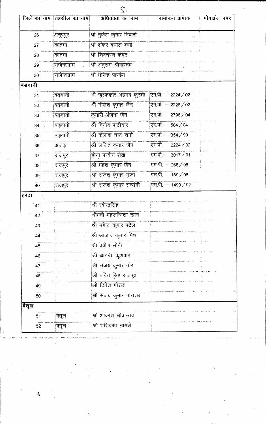|                 | जिले का नाम तिहसील का नाम | अधिवक्ता का नाम             | नामांकन क्रमांक    | मोबाईल नंबर |
|-----------------|---------------------------|-----------------------------|--------------------|-------------|
| 26              | अनूपपुर                   | श्री मुकेश कुमार तिवारी     |                    |             |
| 27              | कोतमा                     | श्री शंकर दयाल शर्मा        |                    |             |
| 28              | कोतमा                     | श्री शिवचरण केवट            |                    |             |
| 29              | ्राजेन्द्रग्राम           | श्री अनुराग श्रीवास्तव      |                    |             |
| 30              | राजेन्द्रग्राम            | श्री धीरेन्द्र पाण्डेय      |                    |             |
| बड़वानी         |                           |                             |                    |             |
| 31              | बड़वानी                   | श्री जुल्फेकार अहमद कुरैशी  | एम.पी. - 2224 / 02 |             |
| 32              | बड़वानी                   | श्री नीलेश कुमार जैन        | एम.पी. – 2226/02   |             |
| 33              | ंबड़वानी                  | कुमारी अंजना जैन            | एम.पी. $-2798/04$  |             |
| 34              | बड़वानी                   | श्री विनोद पाटीदार          | एम.पी. $-584/04$   |             |
| 35              | बड़वानी                   | श्री कैलाश चन्द्र शर्मा     | एम.पी. $-354/99$   |             |
| 36              | अंजड़                     | <u>श्री ललित कु</u> मार जैन | एम.पी. - 2224 / 02 |             |
| 37              | राजपुर                    | <u>हीना परवीन शेख</u>       | एम.पी. - 3017 / 01 |             |
| 38 <sup>°</sup> | राजपुरं                   | श्री महेश कुमार जैन         | एम.पी. - 268 / 98  |             |
| 39              | राजपुर                    | श्री राजेश कुमार गुप्ता     | एम.पी. - 189 / 98  |             |
| 40              | राजपुर                    | श्री राजेश कुमार सत्संगी    | एम.पी. - 1490 / 92 |             |
| हरदा            |                           |                             |                    |             |
| 41              |                           | श्री रवीन्द्रसिंह           |                    |             |
| 42              |                           | श्रीमती मेहरून्निशा खान     |                    |             |
| 43              |                           | श्री महेन्द्र कुमार पटेल    |                    |             |
| 44              |                           | श्री आजाद कुमार मिश्रा      |                    |             |
| 45              |                           | श्री प्रवीण सोनी            |                    |             |
| 46              |                           | श्री आर.बी. कुशवाहा         |                    |             |
| 47              |                           | श्री संजय कुमार गौर         |                    |             |
| 48              |                           | श्री वंदित सिंह राजपूत      |                    |             |
| 49              |                           | श्री दिनेश गोरखे            |                    |             |
| 50              |                           | श्री संजय कुमार पाराशर      |                    |             |
| बैतूल           |                           |                             |                    |             |
| 51              | बैतूल                     | श्री आकाश श्रीवास्तव        |                    |             |
| 52              | <u> </u> बैतूल            | श्री शशिकांत नागले          |                    |             |

 $\label{eq:2.1} \frac{1}{\sqrt{2\pi}}\int_{0}^{\infty}\frac{1}{\sqrt{2\pi}}\left(\frac{1}{\sqrt{2\pi}}\right)^{2\sqrt{2}}\frac{1}{\sqrt{2\pi}}\int_{0}^{\infty}\frac{1}{\sqrt{2\pi}}\left(\frac{1}{\sqrt{2\pi}}\right)^{2\sqrt{2}}\frac{1}{\sqrt{2\pi}}\int_{0}^{\infty}\frac{1}{\sqrt{2\pi}}\frac{1}{\sqrt{2\pi}}\frac{1}{\sqrt{2\pi}}\frac{1}{\sqrt{2\pi}}\frac{1}{\sqrt{2\pi}}\frac{1}{\sqrt{2\pi}}\frac{1$ 

 $\label{eq:2.1} \frac{d\mathbf{r}}{dt} = \frac{d\mathbf{r}}{dt}$ 

 $\mathcal{L}_{\text{max}}$ 

 $\label{eq:2} \frac{1}{\sqrt{2}}\sum_{i=1}^n \frac{1}{2\pi i} \int_{\mathbb{R}^n} \frac{1}{\sqrt{2\pi}} \, \mathrm{d}x \, \mathrm{d}x$ 

 $\mathcal{A}^{\text{max}}_{\text{max}}$ 

 $\zeta$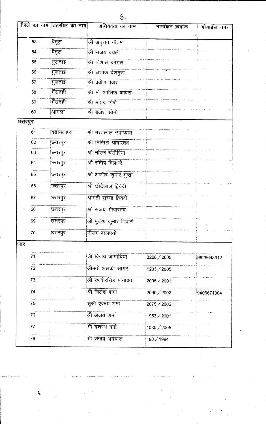|        | जिले का नाम | तहसील का नाम    | अधिवक्ता का नाम         | नामांकन क्रमांक | मोबाईल नंबर |
|--------|-------------|-----------------|-------------------------|-----------------|-------------|
|        | 53          | बितूल           | श्री अनुराग गौतम        |                 |             |
|        | 54          | बैतूल           | श्री संजय बचले          |                 |             |
|        | 55          | !मुलताई         | श्री विशाल कोड़ले       |                 |             |
|        | 56          | मुलताई          | श्री अशोक देशमुख        |                 |             |
|        | 57          | <u> </u> मुलताई | श्री प्रवीण पंवार       |                 |             |
|        | 58          | भैंसदेही        | श्री मो. आसिफ काबरा     |                 |             |
|        | 59          | भिंसदेही        | श्री महेन्द्र गिरी      |                 |             |
|        | 60          | आमला            | श्री ब्रजेश सोनी        |                 |             |
| छतरपुर |             |                 |                         |                 |             |
|        | 61          | बड़ामलहरा       | श्री भरतलाल उपाध्याय    |                 |             |
|        | 62          | छतरपुर          | श्री निखिल श्रीवास्तव   |                 |             |
|        | 63          | छतरपुर          | श्री नीरज चंसौरिया      |                 |             |
|        | 64          | छतरपुर          | श्री संदीप विलथरे       |                 |             |
|        | 65          | छतरपुरं         | श्री आशीष कुमार गुप्ता  |                 |             |
|        | 66          | छतरपुर          | श्री छोटेलाल द्विवेदी   |                 |             |
|        | 67          | छतरपुर          | श्रीमती सुषमा द्विवेदी  |                 |             |
|        | 68          | छतरपुर          | श्री संजय श्रीवास्तव    |                 |             |
|        | 69          | छतरपुर          | श्री मुकेश कुमार तिवारी |                 |             |
|        | 70          | छतरपुर          | नीलम बाजपेयी            |                 |             |
| धार    |             |                 |                         |                 |             |
|        | 71          |                 | श्री विजय जामोदिया      | 3208 / 2005     | 9826643912  |
|        | 72          |                 | श्रीमती अलका सागर       | 1203 / 2005     |             |
|        | 73          |                 | श्री रणवीरसिंह मानावत   | 2005 / 2001     |             |
|        | 74          |                 | श्री निलेश शर्मा        | 2090 / 2002     | 9406671004  |
|        | 75          |                 | सुश्री एकता शर्मा       | 2075 / 2002     |             |
|        | 76          |                 | श्री अजय शर्मा          | 1953 / 2001     |             |
|        | 77          |                 | श्री दशरथ वर्मा         | 1080 / 2005     |             |
|        | 78          |                 | श्री संजय अग्रवाल       | 188 / 1994      |             |

 $\hat{\mathbf{6}}$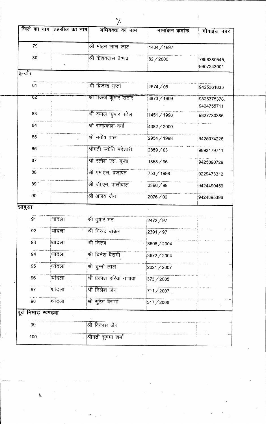| 79                     |                 | श्री मोहन लाल जाट       | 1404 / 1997 |                           |
|------------------------|-----------------|-------------------------|-------------|---------------------------|
| 80                     |                 | श्री केशवदास वैष्णव     | 82/2000     | 7898380545,<br>9907243001 |
| इन्दौर                 |                 |                         |             |                           |
| 81                     |                 | श्री ब्रिजेन्द्र गुप्ता | 2674/05     | 9425361833                |
| 82                     |                 | श्री पंकज कुमार राठौर   | 3873 / 1999 | 9826375378,               |
|                        |                 |                         |             | 9424755711                |
| 83                     |                 | श्री कमल कुमार पटेल     | 1451 / 1998 | 9827730386                |
| 84                     |                 | श्री रामप्रकाश वर्मा    | 4382 / 2000 |                           |
| 85                     |                 | श्री मनीष पाल           | 2954 / 1998 | 9425074226                |
| 86                     |                 | श्रीमती ज्योति महेश्वरी | 2859/03     | 9893179711                |
| 87                     |                 | श्री रत्नेश एस. गुप्ता  | 1858/96     | 9425090729                |
| 88                     |                 | श्री एम.एल. प्रजापत     | 753 / 1998  | 9229473312                |
| 89 <sup>o</sup>        |                 | श्री जी.एन. पालीवाल     | 3396/99     | 9424490459                |
| 90                     |                 | श्री अजय जैन            | 2076/02     | 9424895396                |
| झाबुआ                  |                 |                         |             |                           |
| 91                     | थांदला          | श्री तुषार भट           | 2472 / 97   |                           |
| 92                     | थांदला          | श्री विरेन्द्र बाबेल    | 2391/97     |                           |
| 93                     | थांदला          | श्री निरज               | 3696/2004   |                           |
| 94                     | थांदला          | श्री दिनेश वैरागी       | 3672 / 2004 |                           |
| 95                     | थांदला          | श्री चुन्नी लाल         | 2021/2007   |                           |
| 96                     | थांदला          | श्री प्रकाश हरिया गणावा | 373/2005    |                           |
| 97                     | थांदला          | श्री निलेश जैन          | 711/2007    |                           |
| 98                     | <u>'</u> थांदला | श्री सुरेश वैरागी       | 317 / 2006  |                           |
| निमाड़ खण्डवा<br>पूर्व |                 |                         |             |                           |
| 99                     |                 | श्री विकास जैन          |             |                           |
| 100                    |                 | श्रीमती सुषमा शर्मा     |             |                           |

7.

अधिवक्ता का नाम

्<br>पोबाईल नंबर

नामांकन क्रमांक

<u>जिले का नाम तिहसील का नाम</u>

 $\boldsymbol{\zeta}$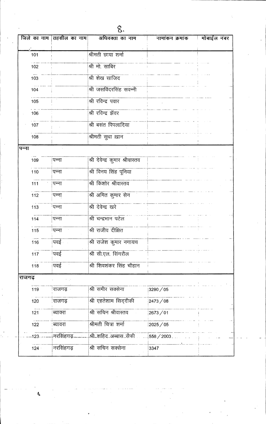|        | जिले का नाम | तहसील का नाम   | अधिवक्ता का नाम                 | नामांकन क्रमांक | मोबाईल नंबर |
|--------|-------------|----------------|---------------------------------|-----------------|-------------|
|        |             |                |                                 |                 |             |
|        | 101         |                | श्रीमती छाया शर्मा              |                 |             |
|        | 102         |                | श्री मो साबिर                   |                 |             |
|        | 103         |                | श्री शेख साजिद                  |                 |             |
|        | 104         |                | श्री जसविंदरसिंह सवन्नी         |                 |             |
|        | 105         |                | श्री रविन्द्र पवार              |                 |             |
|        | 106         |                | श्री रविन्द्र झॅवर              |                 |             |
|        | 107         |                | श्री बसंत पिपलादिया             |                 |             |
|        | 108         |                | श्रीमती सुधा ख़ान               |                 |             |
| पन्ना  |             |                |                                 |                 |             |
|        | 109         | पन्ना          | श्री देवेन्द्र कुमार श्रीवास्तव |                 |             |
|        | 110         | पन्ना          | श्री विनय सिंह पूनिया           |                 |             |
|        | 111         | <u> </u> पन्ना | श्री किशोर श्रीवास्तव           |                 |             |
|        | 112         | <u>!</u> पन्ना | श्री अमित कुमार सेन             |                 |             |
|        | 113         | ंपन्ना         | श्री देवेन्द्र खरे              |                 |             |
|        | 114         | पन्ना          | श्री चन्द्रभान पटेल             |                 |             |
|        | 115         | पन्ना          | श्री राजीव दीक्षित              |                 |             |
|        | 116         | पवई            | श्री राजेश कुमार नगायच          |                 |             |
|        | 117         | !पवई           | श्री सी.एल. सिंगरौल             |                 |             |
|        | 118         | <u>पि्वई</u>   | श्री शिवशंकर सिंह चौहान         |                 |             |
| राजगढ़ |             |                |                                 |                 |             |
|        | 119         | राजगढ़         | श्री समीर सक्सेना               | 3290/05         |             |
|        | 120         | राजगढ़         | श्री एहतेशाम सिद्दीकी           | 2473/08         |             |
|        | 121         | ब्याक्रा       | श्री सचिन श्रीवास्तव            | 2673/01         |             |
|        | 122         | ब्यावरा        | श्रीमती चित्रा शर्मा            | 2025/05         |             |
|        | $123 -$     | नरसिंहगढ़      | श्री_शहिद_अब्बास_सैफी           | $558 / 2003$ .  |             |
|        | $124 -$     | नरसिंहगढ़      | श्री सचिन सक्सेना               | 3347            |             |

q

 $\bar{z}$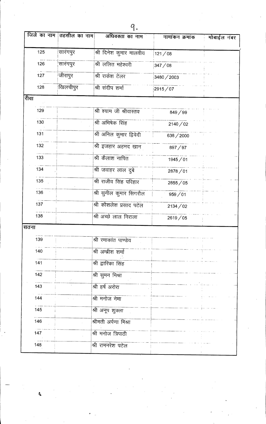|      | जिले का नाम तहसील का नाम | अधिवक्ता का नाम          | नामांकन क्रमांक | मोबाईल नंबर |
|------|--------------------------|--------------------------|-----------------|-------------|
| 125  | सारंगपुर                 | श्री दिनेश कुमार मालवीय  | 121/08          |             |
| 126  | सारंगपुर                 | श्री ललित महेश्वरी       | 347/08          |             |
| 127  | जीरापुर                  | श्री राकेश टेलर          | 3480/2003       |             |
| 128  | खिलचीपुर                 | श्री संदीप शर्मा         | 2915/07         |             |
| रीवा |                          |                          |                 |             |
| 129  |                          | श्री श्याम जी श्रीवास्तव | 849/99          |             |
| 130  |                          | श्री अभिषेक सिंह         | 2140/02         |             |
| 131  |                          | श्री अनिल कुमार द्विवेदी | 638/2000        |             |
| 132  |                          | श्री इजहार अहमद खान      | 897/97          |             |
| 133  |                          | श्री कैलाश नापित         | 1945/01         |             |
| 134  |                          | श्री जवाहर लाल दुबे      | 2878/01         |             |
| 135  |                          | श्री राजीव सिंह परिहार   | 2855 / 05       |             |
| 136  |                          | श्री सुनील कुमार सिगरौल  | 959/01          |             |
| 137  |                          | श्री कौशलेश प्रसाद पटेल  | 2134/02         |             |
| 138  |                          | श्री अच्छे लाल निराला    | 2619/05         |             |
| सतना |                          |                          |                 |             |
| 139  |                          | श्री रमाकांत पाण्डेय     |                 |             |
| 140  |                          | श्री अम्ब्रीश शर्मा      |                 |             |
| 141  |                          | श्री द्वारिका सिंह       |                 |             |
| 142  |                          | श्री सुमन मिश्रा         |                 |             |
| 143  |                          | श्री हर्ष अरोरा          |                 |             |
| 144  |                          | श्री मनोज नेमा           |                 |             |
| 145  |                          | श्री अनूप शुक्ला         |                 |             |
| 146  |                          | श्रीमती अर्पणा मिश्रा    |                 |             |
| 147  |                          | श्री मनोज त्रिपाठी       |                 |             |
| 148  |                          | श्री रामनरेश पटेल        |                 |             |

 $\mathbf{r}$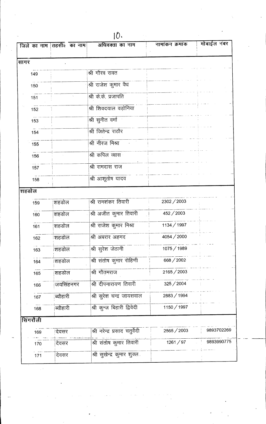|       |          | जिले का नाम तहसीत का नाम | अधिवक्ता का नाम                | नामांकन क्रमांक | मोबाईल नंबर |
|-------|----------|--------------------------|--------------------------------|-----------------|-------------|
| सागर  |          |                          |                                |                 |             |
|       | 149      |                          | श्री गौरव रावत                 |                 |             |
|       | 150      |                          | श्री राजेश कुमार वैध           |                 |             |
|       | 151      |                          | श्री के.के. प्रजापति           |                 |             |
|       | 152      |                          | श्री शिवदयाल वड़ोनिया          |                 |             |
|       | 153      |                          | श्री सुनीत वर्मा               |                 |             |
|       | 154      |                          | श्री जितेन्द्र राठौर           |                 |             |
|       | 155      |                          | श्री नीरज मिश्रा               |                 |             |
|       |          |                          | श्री कपिल व्यास                |                 |             |
|       | 156      |                          | श्री रामदास राज                |                 |             |
|       | 157      |                          |                                |                 |             |
|       | 158      |                          | श्री आशूतोष यादव               |                 |             |
| शहडोल |          |                          |                                |                 |             |
|       | 159      | शहडोल                    | श्री रामशंकर तिवारी            | 2302 / 2003     |             |
|       | 160      | शहडोल                    | श्री अजीत कुमार तिवारी         | 452/2003        |             |
|       | 161      | शहडोल                    | श्री राजेश कुमार मिश्रा        | 1134 / 1997     |             |
|       | 162      | शहडोल                    | श्री अबरार अहमद                | 4054 / 2000     |             |
|       | 163      | शहडोल                    | श्री सुरेश जेठानी              | 1075 / 1989     |             |
|       | 164      | शिहडोल                   | श्री संतोष कुमार रोहिणी        | 668 / 2002      |             |
|       | 165      | शहडोल                    | श्री गौतमराज                   | 2165/2003       |             |
|       | 166      | जयसिंहनगर                | श्री दीपनारायण तिवारी          | 325 / 2004      |             |
|       | 167      | ब्यौहारी                 | श्री सुरेश चन्द्र जायसवाल      | 2883 / 1994     |             |
|       | 168      | ब्यौहारी                 | श्री कून्ज बिहारी द्विवेदी     | 1150 / 1997     |             |
|       | सिंगरौली |                          |                                |                 |             |
|       | 169      | देवसर                    | श्री नरेन्द्र प्रसाद चतुर्वेदी | 2565/2003       | 9893702269  |
|       | 170      | देवसर                    | श्री संतोष कुमार तिवारी        | 1261 / 97       | 9893990775  |
|       | 171      | देवसर                    | श्री सुखेन्द्र कुमार शुक्ल     |                 |             |
|       |          |                          |                                |                 |             |

10.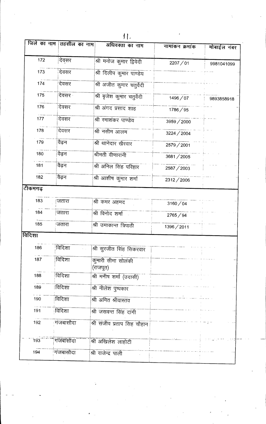| जिले का नाम | तहसील का नाम | अधिवक्ता का नाम                | नामांकन क्रमांक | मोबाईल नंबर |
|-------------|--------------|--------------------------------|-----------------|-------------|
| 172         | देवसर        | श्री मनोज कुमार द्विवेदी       | 2207/01         | 9981041099  |
| 173         | देवसर        | श्री दिलीप कुमार पाण्डेय       |                 |             |
| 174         | देवसर        | श्री अजीत कुमार चतुर्वेदी      |                 |             |
| 175         | देवसर        | श्री बृजेश कुमार चतुर्वेदी     | 1496/07         | 9893858918  |
| 176         | देवसर        | श्री अंगद प्रसाद शाह           | 1786/95         |             |
| 177         | देवसर        | श्री रमाशंकर पाण्डेय           | 3959 / 2000     |             |
| 178         | देवसर        | श्री नसीम आलम                  | 3224 / 2004     |             |
| 179         | वैढन         | श्री थानेदार खैरवार            | 2579 / 2001     |             |
| 180         | वैढ़न        | श्रीमती वीणारानी               | 3681/2005       |             |
| 181         | वैढ़न        | श्री अनिल सिंह परिहार          | 2587 / 2003     |             |
| 182         | वैढ़न        | श्री आशीष कुमार शर्मा          | 2312/2006       |             |
| टीकमगढ़     |              |                                |                 |             |
| 183         | जतारा        | श्री कमर अहमद                  | 3160 / 04       |             |
| 184         | जतारा        | श्री विनोद शर्मा               | 2765/94         |             |
| 185         | <u>जतारा</u> | श्री उमाकान्त त्रिपाठी         | 1396/2011       |             |
| विदिशा      |              |                                |                 |             |
| 186         | विदिशा       | श्री सुरजीत सिंह सिकरवार       |                 |             |
| 187         | विदिशा       | कुमारी सीमा सोलंकी<br>(राजपूत) |                 |             |
| 188         | विदिशा       | श्री मनीष शर्मा (उदासी)        |                 |             |
| 189         | विदिशा       | श्री नीलेश पुष्पकार            |                 |             |
| 190         | विदिशा       | श्री अमित श्रीवास्तव           |                 |             |
| 191         | विदिशा       | श्री जसवन्त सिंह दांगी         |                 |             |
| 192         | गंजबासौदा    | श्री संजीव प्रताप सिंह चौहान   |                 |             |
| 193         | गंजबांसीदा   | श्री अखिलेश लाहोटी             |                 |             |
| 194         | गजबासौदा     | श्री राजेन्द्र पाली            |                 |             |

 $|1|$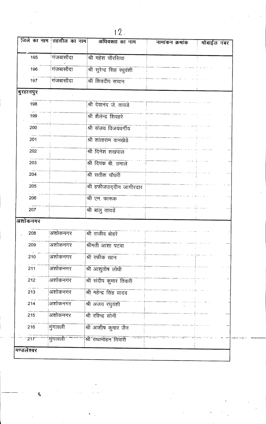|            | जिले का नाम तहसील का नाम | अधिवक्ता का नाम            | नामांकन क्रमांक | मोबाईल नंबर |  |
|------------|--------------------------|----------------------------|-----------------|-------------|--|
| 195        | <sup>।</sup> गंजबासौदा   | श्री महेश चौरसिया          |                 |             |  |
| 196        | गंजबासौदा                | श्री सुरेन्द्र सिह रधुवंशी |                 |             |  |
| 197        | गंजबासौदा                | श्री शिवदीप सचान           |                 |             |  |
| बुरहानपुर  |                          |                            |                 |             |  |
| 198        |                          | श्री देवानंद जे. तायडे     |                 |             |  |
| 199        |                          | श्री शैलेन्द्र शिवहरे      |                 |             |  |
| 200        |                          | श्री संजय विजयवर्गीय       |                 |             |  |
| 201        |                          | श्री शांताराम वानखेडे      |                 |             |  |
| 202        |                          | श्री दिनेश शखपाल           |                 |             |  |
| 203        |                          | श्री दिपक बी. उमाले        |                 |             |  |
| 204        |                          | श्री सतीश चौधरी            |                 |             |  |
| 205        |                          | श्री हफीजउद्दीन जागीरदार   |                 |             |  |
| 206        |                          | श्री एम. फारूक             |                 |             |  |
| 207        |                          | श्री बालु तायडें           |                 |             |  |
| अशोकनगर    |                          |                            |                 |             |  |
| 208        | अशोकनगर                  | श्री राजीव बोहरे           |                 |             |  |
| 209        | अशोकनगर                  | श्रीमती आशा पटवा           |                 |             |  |
| 210        | अशोकनगर                  | श्री रफीक खान              |                 |             |  |
| 211        | अशोकनगर                  | श्री आशुतोष लोधी           |                 |             |  |
| 212        | अशोकनगर                  | श्री संदीप कुमार तिवारी    |                 |             |  |
| 213        | अशोकनगर                  | श्री महेन्द्र सिंह यादव    |                 |             |  |
| 214        | अशोकनगर                  | श्री अजय रघुवंशी           |                 |             |  |
| 215        | अशोकनगर                  | श्री रविन्द्र सोनी         |                 |             |  |
| 216        | मुंगावली                 | श्री आशीष कुमार जैन        |                 |             |  |
| 217        | मुंगावली                 | श्री राधामोहन तिवारी       |                 |             |  |
| मण्डलेश्वर |                          |                            |                 |             |  |

 $\mathcal{A}_{\mathcal{A}}$ 

 $\overline{0}$ 

Í,

 $\frac{1}{2}$